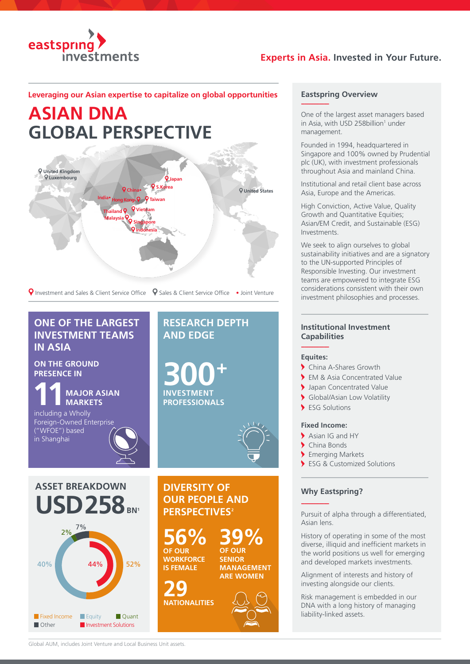

## **Experts in Asia. Invested in Your Future.**

### **Leveraging our Asian expertise to capitalize on global opportunities**

# **ASIAN DNA GLOBAL PERSPECTIVE**



**P** Investment and Sales & Client Service Office P Sales & Client Service Office • Joint Venture

# **ONE OF THE LARGEST INVESTMENT TEAMS IN ASIA**

**ON THE GROUND PRESENCE IN**

**11MAJOR ASIAN MARKETS**

including a Wholly Foreign-Owned Enterprise ("WFOE") based in Shanghai

# **RESEARCH DEPTH AND EDGE**

**300+ INVESTMENT PROFESSIONALS**



**ASSET BREAKDOWN USD 258** BN<sup>1</sup>



**DIVERSITY OF OUR PEOPLE AND PERSPECTIVES<sup>2</sup>** 

**56% OF OUR WORKFORCE** 

**IS FEMALE**

**29 NATIONALITIES**



#### **Eastspring Overview**

**-----------------**

One of the largest asset managers based in Asia, with USD 258 billion<sup>1</sup> under management.

Founded in 1994, headquartered in Singapore and 100% owned by Prudential plc (UK), with investment professionals throughout Asia and mainland China.

Institutional and retail client base across Asia, Europe and the Americas.

High Conviction, Active Value, Quality Growth and Quantitative Equities; Asian/EM Credit, and Sustainable (ESG) Investments.

We seek to align ourselves to global sustainability initiatives and are a signatory to the UN-supported Principles of Responsible Investing. Our investment teams are empowered to integrate ESG considerations consistent with their own investment philosophies and processes.

### **Institutional Investment Capabilities**

#### **----------------- Equites:**

- China A-Shares Growth
- EM & Asia Concentrated Value
- Japan Concentrated Value
- Global/Asian Low Volatility
- ESG Solutions

#### **Fixed Income:**

- Asian IG and HY
- China Bonds
- **Emerging Markets**
- ESG & Customized Solutions

#### **Why Eastspring?**

**-----------------**

Pursuit of alpha through a differentiated, Asian lens.

History of operating in some of the most diverse, illiquid and inefficient markets in the world positions us well for emerging and developed markets investments.

Alignment of interests and history of investing alongside our clients.

Risk management is embedded in our DNA with a long history of managing liability-linked assets.